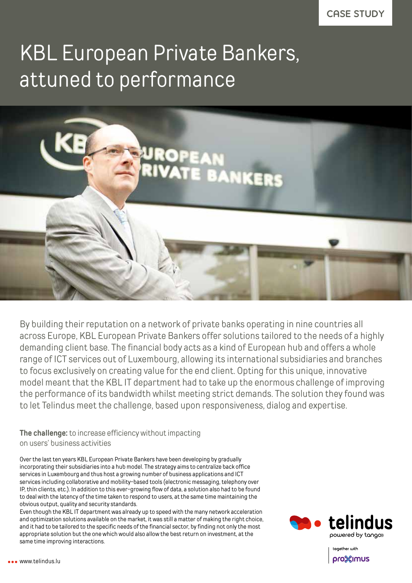## KBL European Private Bankers, attuned to performance



By building their reputation on a network of private banks operating in nine countries all across Europe, KBL European Private Bankers offer solutions tailored to the needs of a highly demanding client base. The financial body acts as a kind of European hub and offers a whole range of ICT services out of Luxembourg, allowing its international subsidiaries and branches to focus exclusively on creating value for the end client. Opting for this unique, innovative model meant that the KBL IT department had to take up the enormous challenge of improving the performance of its bandwidth whilst meeting strict demands. The solution they found was to let Telindus meet the challenge, based upon responsiveness, dialog and expertise.

**The challenge:** to increase efficiency without impacting on users' business activities

Over the last ten years KBL European Private Bankers have been developing by gradually incorporating their subsidiaries into a hub model. The strategy aims to centralize back office services in Luxembourg and thus host a growing number of business applications and ICT services including collaborative and mobility-based tools (electronic messaging, telephony over IP, thin clients, etc.). In addition to this ever-growing flow of data, a solution also had to be found to deal with the latency of the time taken to respond to users, at the same time maintaining the obvious output, quality and security standards.

Even though the KBL IT department was already up to speed with the many network acceleration and optimization solutions available on the market, it was still a matter of making the right choice, and it had to be tailored to the specific needs of the financial sector, by finding not only the most appropriate solution but the one which would also allow the best return on investment, at the same time improving interactions.



together with